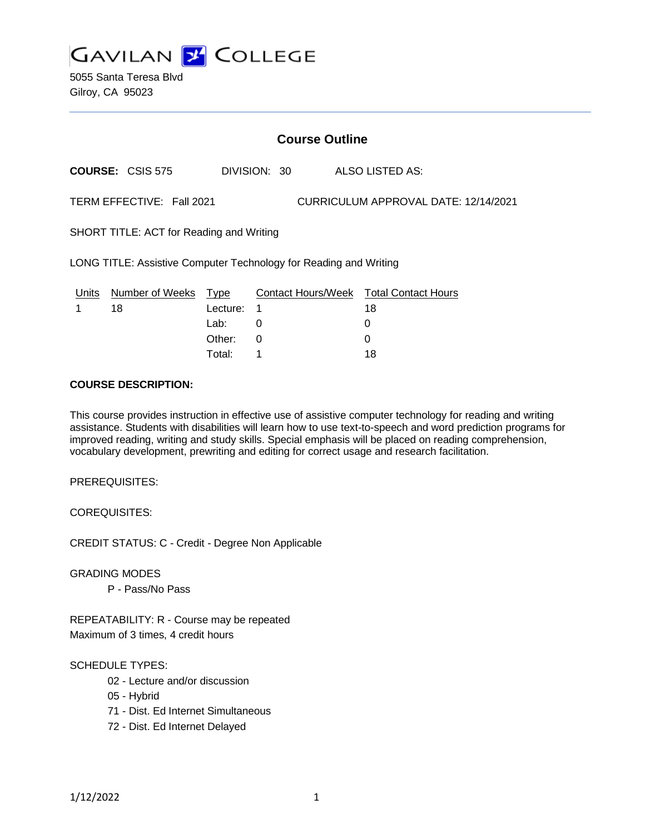

5055 Santa Teresa Blvd Gilroy, CA 95023

### **Course Outline**

**COURSE:** CSIS 575 DIVISION: 30 ALSO LISTED AS:

TERM EFFECTIVE: Fall 2021 CURRICULUM APPROVAL DATE: 12/14/2021

SHORT TITLE: ACT for Reading and Writing

LONG TITLE: Assistive Computer Technology for Reading and Writing

| Units | Number of Weeks Type |            | Contact Hours/Week Total Contact Hours |    |
|-------|----------------------|------------|----------------------------------------|----|
|       | 18                   | Lecture: 1 |                                        | 18 |
|       |                      | Lab:       |                                        |    |
|       |                      | Other:     |                                        |    |
|       |                      | Total:     |                                        | 18 |

## **COURSE DESCRIPTION:**

This course provides instruction in effective use of assistive computer technology for reading and writing assistance. Students with disabilities will learn how to use text-to-speech and word prediction programs for improved reading, writing and study skills. Special emphasis will be placed on reading comprehension, vocabulary development, prewriting and editing for correct usage and research facilitation.

PREREQUISITES:

COREQUISITES:

CREDIT STATUS: C - Credit - Degree Non Applicable

GRADING MODES

P - Pass/No Pass

REPEATABILITY: R - Course may be repeated Maximum of 3 times, 4 credit hours

#### SCHEDULE TYPES:

- 02 Lecture and/or discussion
- 05 Hybrid
- 71 Dist. Ed Internet Simultaneous
- 72 Dist. Ed Internet Delayed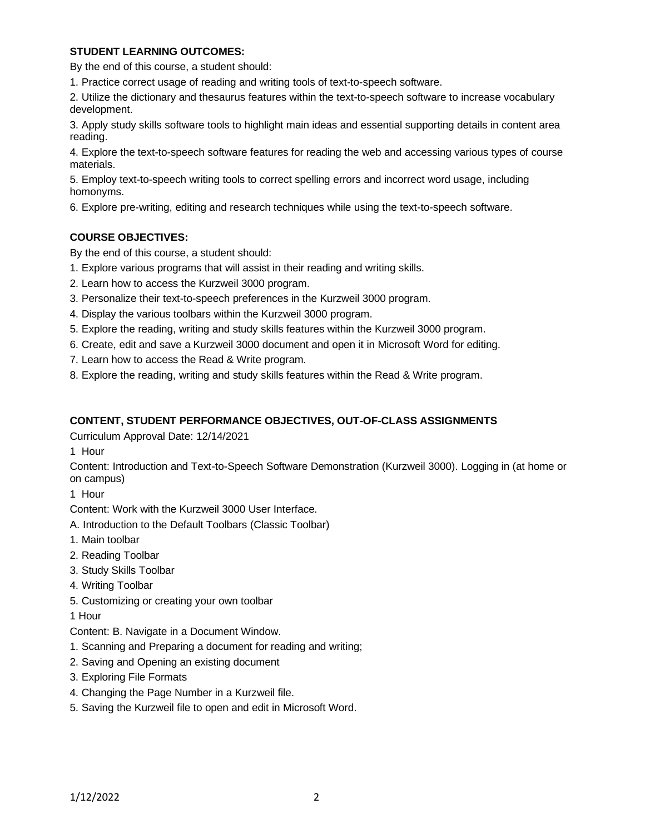### **STUDENT LEARNING OUTCOMES:**

By the end of this course, a student should:

1. Practice correct usage of reading and writing tools of text-to-speech software.

2. Utilize the dictionary and thesaurus features within the text-to-speech software to increase vocabulary development.

3. Apply study skills software tools to highlight main ideas and essential supporting details in content area reading.

4. Explore the text-to-speech software features for reading the web and accessing various types of course materials.

5. Employ text-to-speech writing tools to correct spelling errors and incorrect word usage, including homonyms.

6. Explore pre-writing, editing and research techniques while using the text-to-speech software.

# **COURSE OBJECTIVES:**

By the end of this course, a student should:

- 1. Explore various programs that will assist in their reading and writing skills.
- 2. Learn how to access the Kurzweil 3000 program.
- 3. Personalize their text-to-speech preferences in the Kurzweil 3000 program.
- 4. Display the various toolbars within the Kurzweil 3000 program.
- 5. Explore the reading, writing and study skills features within the Kurzweil 3000 program.
- 6. Create, edit and save a Kurzweil 3000 document and open it in Microsoft Word for editing.
- 7. Learn how to access the Read & Write program.
- 8. Explore the reading, writing and study skills features within the Read & Write program.

### **CONTENT, STUDENT PERFORMANCE OBJECTIVES, OUT-OF-CLASS ASSIGNMENTS**

Curriculum Approval Date: 12/14/2021

1 Hour

Content: Introduction and Text-to-Speech Software Demonstration (Kurzweil 3000). Logging in (at home or on campus)

1 Hour

Content: Work with the Kurzweil 3000 User Interface.

- A. Introduction to the Default Toolbars (Classic Toolbar)
- 1. Main toolbar
- 2. Reading Toolbar
- 3. Study Skills Toolbar
- 4. Writing Toolbar
- 5. Customizing or creating your own toolbar
- 1 Hour

Content: B. Navigate in a Document Window.

- 1. Scanning and Preparing a document for reading and writing;
- 2. Saving and Opening an existing document
- 3. Exploring File Formats
- 4. Changing the Page Number in a Kurzweil file.
- 5. Saving the Kurzweil file to open and edit in Microsoft Word.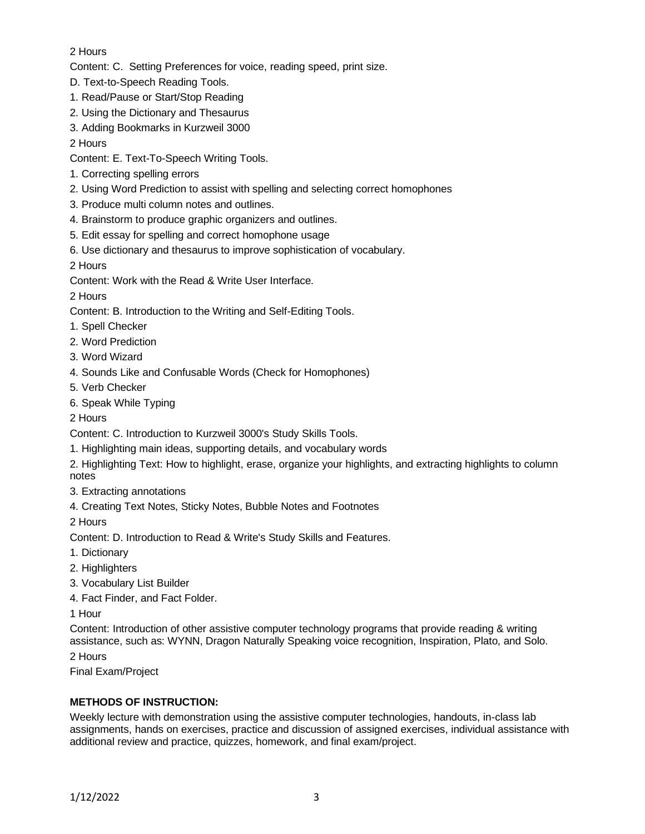# 2 Hours

Content: C. Setting Preferences for voice, reading speed, print size.

- D. Text-to-Speech Reading Tools.
- 1. Read/Pause or Start/Stop Reading
- 2. Using the Dictionary and Thesaurus
- 3. Adding Bookmarks in Kurzweil 3000
- 2 Hours
- Content: E. Text-To-Speech Writing Tools.
- 1. Correcting spelling errors
- 2. Using Word Prediction to assist with spelling and selecting correct homophones
- 3. Produce multi column notes and outlines.
- 4. Brainstorm to produce graphic organizers and outlines.
- 5. Edit essay for spelling and correct homophone usage
- 6. Use dictionary and thesaurus to improve sophistication of vocabulary.
- 2 Hours

Content: Work with the Read & Write User Interface.

2 Hours

- Content: B. Introduction to the Writing and Self-Editing Tools.
- 1. Spell Checker
- 2. Word Prediction
- 3. Word Wizard
- 4. Sounds Like and Confusable Words (Check for Homophones)
- 5. Verb Checker
- 6. Speak While Typing

2 Hours

- Content: C. Introduction to Kurzweil 3000's Study Skills Tools.
- 1. Highlighting main ideas, supporting details, and vocabulary words
- 2. Highlighting Text: How to highlight, erase, organize your highlights, and extracting highlights to column notes
- 3. Extracting annotations
- 4. Creating Text Notes, Sticky Notes, Bubble Notes and Footnotes

2 Hours

- Content: D. Introduction to Read & Write's Study Skills and Features.
- 1. Dictionary
- 2. Highlighters
- 3. Vocabulary List Builder
- 4. Fact Finder, and Fact Folder.

1 Hour

Content: Introduction of other assistive computer technology programs that provide reading & writing assistance, such as: WYNN, Dragon Naturally Speaking voice recognition, Inspiration, Plato, and Solo.

2 Hours

Final Exam/Project

# **METHODS OF INSTRUCTION:**

Weekly lecture with demonstration using the assistive computer technologies, handouts, in-class lab assignments, hands on exercises, practice and discussion of assigned exercises, individual assistance with additional review and practice, quizzes, homework, and final exam/project.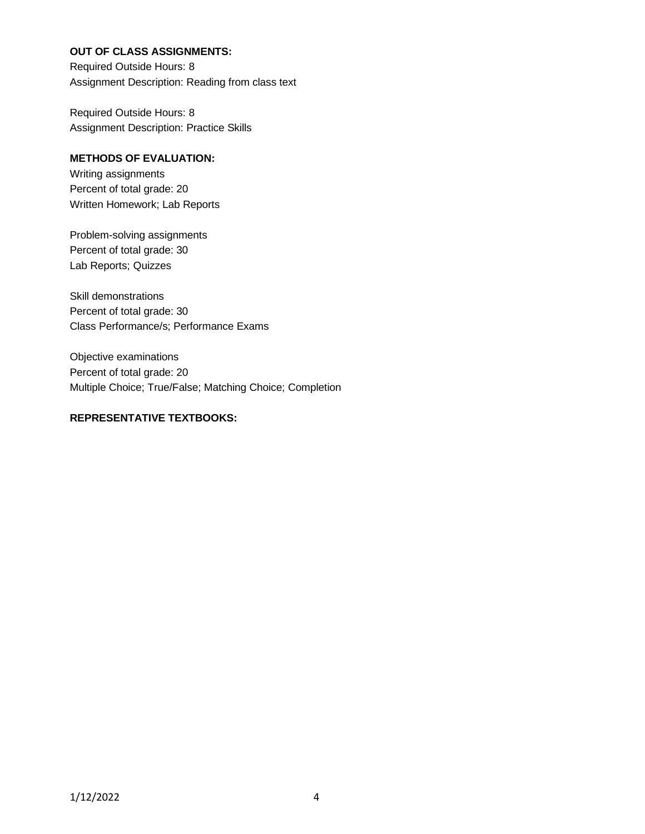### **OUT OF CLASS ASSIGNMENTS:**

Required Outside Hours: 8 Assignment Description: Reading from class text

Required Outside Hours: 8 Assignment Description: Practice Skills

## **METHODS OF EVALUATION:**

Writing assignments Percent of total grade: 20 Written Homework; Lab Reports

Problem-solving assignments Percent of total grade: 30 Lab Reports; Quizzes

Skill demonstrations Percent of total grade: 30 Class Performance/s; Performance Exams

Objective examinations Percent of total grade: 20 Multiple Choice; True/False; Matching Choice; Completion

# **REPRESENTATIVE TEXTBOOKS:**